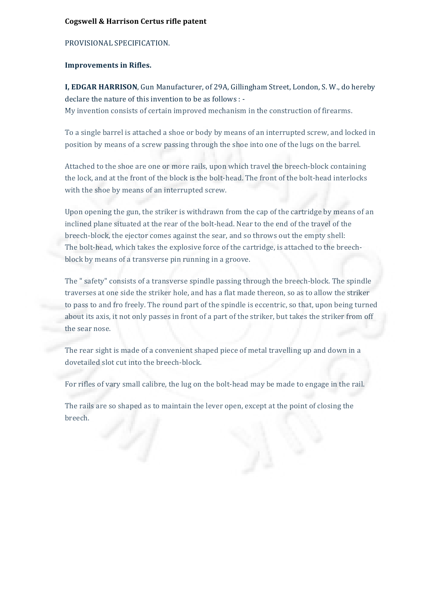## **Cogswell & Harrison Certus rifle patent**

# PROVISIONAL SPECIFICATION.

### **Improvements in Rifles.**

**I, EDGAR HARRISON**, Gun Manufacturer, of 29A, Gillingham Street, London, S. W., do hereby declare the nature of this invention to be as follows :  $-$ My invention consists of certain improved mechanism in the construction of firearms.

To a single barrel is attached a shoe or body by means of an interrupted screw, and locked in position by means of a screw passing through the shoe into one of the lugs on the barrel.

Attached to the shoe are one or more rails, upon which travel the breech-block containing the lock, and at the front of the block is the bolt-head. The front of the bolt-head interlocks with the shoe by means of an interrupted screw.

Upon opening the gun, the striker is withdrawn from the cap of the cartridge by means of an inclined plane situated at the rear of the bolt-head. Near to the end of the travel of the breech-block, the ejector comes against the sear, and so throws out the empty shell: The bolt-head, which takes the explosive force of the cartridge, is attached to the breechblock by means of a transverse pin running in a groove.

The " safety" consists of a transverse spindle passing through the breech-block. The spindle traverses at one side the striker hole, and has a flat made thereon, so as to allow the striker to pass to and fro freely. The round part of the spindle is eccentric, so that, upon being turned about its axis, it not only passes in front of a part of the striker, but takes the striker from off the sear nose.

The rear sight is made of a convenient shaped piece of metal travelling up and down in a dovetailed slot cut into the breech-block.

For rifles of vary small calibre, the lug on the bolt-head may be made to engage in the rail.

The rails are so shaped as to maintain the lever open, except at the point of closing the breech.